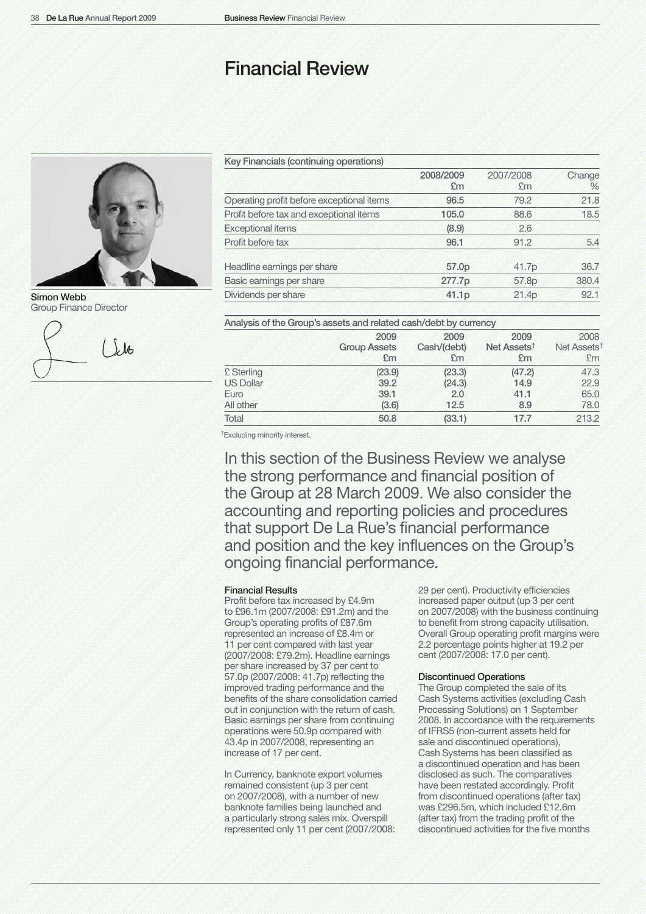# Financial Review



Simon Webb Group Finance Director



| Key Financials (continuing operations)    |                   |                 |             |
|-------------------------------------------|-------------------|-----------------|-------------|
|                                           | 2008/2009<br>£m   | 2007/2008<br>£m | Change<br>% |
| Operating profit before exceptional items | 96.5              | 79.2            | 21.8        |
| Profit before tax and exceptional items   | 105.0             | 88.6            | 18.5        |
| <b>Exceptional items</b>                  | (8.9)             | 2.6             |             |
| Profit before tax                         | 96.1              | 91.2            | 5.4         |
| Headline earnings per share               | 57.0 <sub>p</sub> | 41.7p           | 36.7        |
| Basic earnings per share                  | 277.7p            | 57.8p           | 380.4       |
| Dividends per share                       | 41.1p             | 21.4p           | 92.1        |

|  |  |  | Analysis of the Group's assets and related cash/debt by currency |  |  |  |  |
|--|--|--|------------------------------------------------------------------|--|--|--|--|
|--|--|--|------------------------------------------------------------------|--|--|--|--|

|                   | 2009<br><b>Group Assets</b><br>Em | 2009<br>Cash/(debt)<br>£m | 2009<br>Net Assets <sup>t</sup><br>£m | 2008<br>Net Assets <sup>1</sup><br>£m. |
|-------------------|-----------------------------------|---------------------------|---------------------------------------|----------------------------------------|
| <b>£</b> Sterling | (23.9)                            | (23.3)                    | (47.2)                                | 47.3                                   |
| US Dollar         | 39.2                              | (24.3)                    | 14.9                                  | 22.9                                   |
| Euro              | 39.1                              | 2.0                       | 41.1                                  | 65.0                                   |
| All other         | (3.6)                             | 12.5                      | 8.9                                   | 78.0                                   |
| Total             | 50.8                              | (33.1)                    | 177                                   | 213.2                                  |

†Excluding minority interest.

In this section of the Business Review we analyse the strong performance and financial position of the Group at 28 March 2009. We also consider the accounting and reporting policies and procedures that support De La Rue's financial performance and position and the key influences on the Group's ongoing financial performance.

#### Financial Results

Profit before tax increased by £4.9m to £96.1m (2007/2008: £91.2m) and the Group's operating profits of £87.6m represented an increase of £8.4m or 11 per cent compared with last year (2007/2008: £79.2m). Headline earnings per share increased by 37 per cent to 57.0p (2007/2008: 41.7p) reflecting the improved trading performance and the benefits of the share consolidation carried out in conjunction with the return of cash. Basic earnings per share from continuing operations were 50.9p compared with 43.4p in 2007/2008, representing an increase of 17 per cent.

In Currency, banknote export volumes remained consistent (up 3 per cent on 2007/2008), with a number of new banknote families being launched and a particularly strong sales mix. Overspill represented only 11 per cent (2007/2008: 29 per cent). Productivity efficiencies increased paper output (up 3 per cent on 2007/2008) with the business continuing to benefit from strong capacity utilisation. Overall Group operating profit margins were 2.2 percentage points higher at 19.2 per cent (2007/2008: 17.0 per cent).

## Discontinued Operations

The Group completed the sale of its Cash Systems activities (excluding Cash Processing Solutions) on 1 September 2008. In accordance with the requirements of IFRS5 (non-current assets held for sale and discontinued operations), Cash Systems has been classified as a discontinued operation and has been disclosed as such. The comparatives have been restated accordingly. Profit from discontinued operations (after tax) was £296.5m, which included £12.6m (after tax) from the trading profit of the discontinued activities for the five months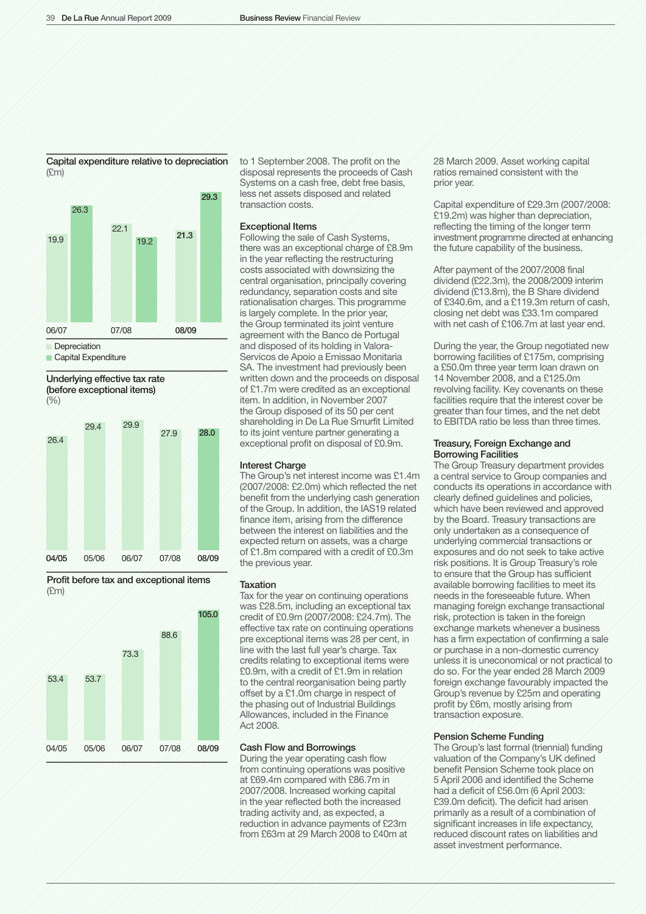#### Capital expenditure relative to depreciation (£m)



Capital Expenditure

Underlying effective tax rate (before exceptional items)





Profit before tax and exceptional items (£m)



to 1 September 2008. The profit on the disposal represents the proceeds of Cash Systems on a cash free, debt free basis, less net assets disposed and related transaction costs.

#### Exceptional Items

Following the sale of Cash Systems, there was an exceptional charge of £8.9m in the year reflecting the restructuring costs associated with downsizing the central organisation, principally covering redundancy, separation costs and site rationalisation charges. This programme is largely complete. In the prior year, the Group terminated its joint venture agreement with the Banco de Portugal and disposed of its holding in Valora-Servicos de Apoio a Emissao Monitaria SA. The investment had previously been written down and the proceeds on disposal of £1.7m were credited as an exceptional item. In addition, in November 2007 the Group disposed of its 50 per cent shareholding in De La Rue Smurfit Limited to its joint venture partner generating a exceptional profit on disposal of £0.9m.

## Interest Charge

The Group's net interest income was £1.4m (2007/2008: £2.0m) which reflected the net benefit from the underlying cash generation of the Group. In addition, the IAS19 related finance item, arising from the difference between the interest on liabilities and the expected return on assets, was a charge of £1.8m compared with a credit of £0.3m the previous year.

#### Taxation

Tax for the year on continuing operations was £28.5m, including an exceptional tax credit of £0.9m (2007/2008: £24.7m). The effective tax rate on continuing operations pre exceptional items was 28 per cent, in line with the last full year's charge. Tax credits relating to exceptional items were £0.9m, with a credit of £1.9m in relation to the central reorganisation being partly offset by a £1.0m charge in respect of the phasing out of Industrial Buildings Allowances, included in the Finance Act 2008.

#### Cash Flow and Borrowings

During the year operating cash flow from continuing operations was positive at £69.4m compared with £86.7m in 2007/2008. Increased working capital in the year reflected both the increased trading activity and, as expected, a reduction in advance payments of £23m from £63m at 29 March 2008 to £40m at 28 March 2009. Asset working capital ratios remained consistent with the prior year.

Capital expenditure of £29.3m (2007/2008: £19.2m) was higher than depreciation, reflecting the timing of the longer term investment programme directed at enhancing the future capability of the business.

After payment of the 2007/2008 final dividend (£22.3m), the 2008/2009 interim dividend (£13.8m), the B Share dividend of £340.6m, and a £119.3m return of cash, closing net debt was £33.1m compared with net cash of £106.7m at last year end.

During the year, the Group negotiated new borrowing facilities of £175m, comprising a £50.0m three year term loan drawn on 14 November 2008, and a £125.0m revolving facility. Key covenants on these facilities require that the interest cover be greater than four times, and the net debt to EBITDA ratio be less than three times.

## Treasury, Foreign Exchange and Borrowing Facilities

The Group Treasury department provides a central service to Group companies and conducts its operations in accordance with clearly defined guidelines and policies, which have been reviewed and approved by the Board. Treasury transactions are only undertaken as a consequence of underlying commercial transactions or exposures and do not seek to take active risk positions. It is Group Treasury's role to ensure that the Group has sufficient available borrowing facilities to meet its needs in the foreseeable future. When managing foreign exchange transactional risk, protection is taken in the foreign exchange markets whenever a business has a firm expectation of confirming a sale or purchase in a non-domestic currency unless it is uneconomical or not practical to do so. For the year ended 28 March 2009 foreign exchange favourably impacted the Group's revenue by £25m and operating profit by £6m, mostly arising from transaction exposure.

#### Pension Scheme Funding

The Group's last formal (triennial) funding valuation of the Company's UK defined benefit Pension Scheme took place on 5 April 2006 and identified the Scheme had a deficit of £56.0m (6 April 2003: £39.0m deficit). The deficit had arisen primarily as a result of a combination of significant increases in life expectancy, reduced discount rates on liabilities and asset investment performance.